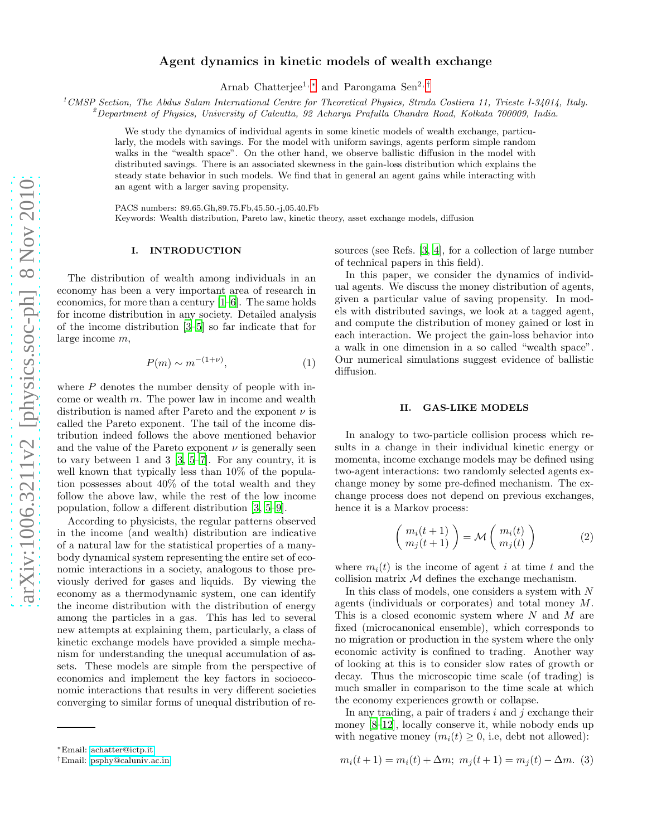# Agent dynamics in kinetic models of wealth exchange

Arnab Chatterjee<sup>1,[∗](#page-0-0)</sup> and Parongama Sen<sup>2,[†](#page-0-1)</sup>

<sup>1</sup>*CMSP Section, The Abdus Salam International Centre for Theoretical Physics, Strada Costiera 11, Trieste I-34014, Italy.*

<sup>2</sup>*Department of Physics, University of Calcutta, 92 Acharya Prafulla Chandra Road, Kolkata 700009, India.*

We study the dynamics of individual agents in some kinetic models of wealth exchange, particularly, the models with savings. For the model with uniform savings, agents perform simple random walks in the "wealth space". On the other hand, we observe ballistic diffusion in the model with distributed savings. There is an associated skewness in the gain-loss distribution which explains the steady state behavior in such models. We find that in general an agent gains while interacting with an agent with a larger saving propensity.

PACS numbers: 89.65.Gh,89.75.Fb,45.50.-j,05.40.Fb Keywords: Wealth distribution, Pareto law, kinetic theory, asset exchange models, diffusion

## I. INTRODUCTION

The distribution of wealth among individuals in an economy has been a very important area of research in economics, for more than a century [\[1](#page-4-0)[–6](#page-4-1)]. The same holds for income distribution in any society. Detailed analysis of the income distribution [\[3](#page-4-2)[–5](#page-4-3)] so far indicate that for large income m,

<span id="page-0-2"></span>
$$
P(m) \sim m^{-(1+\nu)},\tag{1}
$$

where  $P$  denotes the number density of people with income or wealth m. The power law in income and wealth distribution is named after Pareto and the exponent  $\nu$  is called the Pareto exponent. The tail of the income distribution indeed follows the above mentioned behavior and the value of the Pareto exponent  $\nu$  is generally seen to vary between 1 and 3 [\[3,](#page-4-2) [5](#page-4-3)[–7\]](#page-4-4). For any country, it is well known that typically less than 10% of the population possesses about 40% of the total wealth and they follow the above law, while the rest of the low income population, follow a different distribution [\[3](#page-4-2), [5](#page-4-3)[–9\]](#page-5-0).

According to physicists, the regular patterns observed in the income (and wealth) distribution are indicative of a natural law for the statistical properties of a manybody dynamical system representing the entire set of economic interactions in a society, analogous to those previously derived for gases and liquids. By viewing the economy as a thermodynamic system, one can identify the income distribution with the distribution of energy among the particles in a gas. This has led to several new attempts at explaining them, particularly, a class of kinetic exchange models have provided a simple mechanism for understanding the unequal accumulation of assets. These models are simple from the perspective of economics and implement the key factors in socioeconomic interactions that results in very different societies converging to similar forms of unequal distribution of resources (see Refs. [\[3,](#page-4-2) [4\]](#page-4-5), for a collection of large number of technical papers in this field).

In this paper, we consider the dynamics of individual agents. We discuss the money distribution of agents, given a particular value of saving propensity. In models with distributed savings, we look at a tagged agent, and compute the distribution of money gained or lost in each interaction. We project the gain-loss behavior into a walk in one dimension in a so called "wealth space". Our numerical simulations suggest evidence of ballistic diffusion.

### II. GAS-LIKE MODELS

In analogy to two-particle collision process which results in a change in their individual kinetic energy or momenta, income exchange models may be defined using two-agent interactions: two randomly selected agents exchange money by some pre-defined mechanism. The exchange process does not depend on previous exchanges, hence it is a Markov process:

$$
\begin{pmatrix} m_i(t+1) \\ m_j(t+1) \end{pmatrix} = \mathcal{M} \begin{pmatrix} m_i(t) \\ m_j(t) \end{pmatrix}
$$
 (2)

where  $m_i(t)$  is the income of agent i at time t and the collision matrix  $M$  defines the exchange mechanism.

In this class of models, one considers a system with  $N$ agents (individuals or corporates) and total money M. This is a closed economic system where  $N$  and  $M$  are fixed (microcanonical ensemble), which corresponds to no migration or production in the system where the only economic activity is confined to trading. Another way of looking at this is to consider slow rates of growth or decay. Thus the microscopic time scale (of trading) is much smaller in comparison to the time scale at which the economy experiences growth or collapse.

In any trading, a pair of traders  $i$  and  $j$  exchange their money [\[8](#page-5-1)[–12\]](#page-5-2), locally conserve it, while nobody ends up with negative money  $(m_i(t) \geq 0, i.e., \text{ debt not allowed})$ :

$$
m_i(t+1) = m_i(t) + \Delta m; \ m_j(t+1) = m_j(t) - \Delta m. \tag{3}
$$

<span id="page-0-0"></span><sup>∗</sup>Email: [achatter@ictp.it](mailto:achatter@ictp.it)

<span id="page-0-1"></span><sup>†</sup>Email: [psphy@caluniv.ac.in](mailto:psphy@caluniv.ac.in)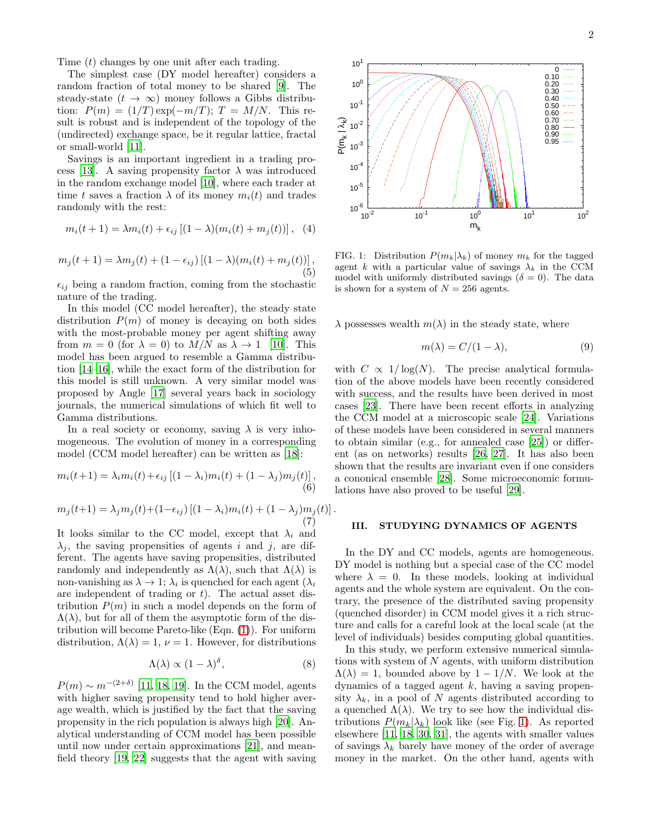Time  $(t)$  changes by one unit after each trading.

The simplest case (DY model hereafter) considers a random fraction of total money to be shared [\[9\]](#page-5-0). The steady-state  $(t \to \infty)$  money follows a Gibbs distribution:  $P(m) = (1/T) \exp(-m/T); T = M/N.$  This result is robust and is independent of the topology of the (undirected) exchange space, be it regular lattice, fractal or small-world [\[11](#page-5-3)].

Savings is an important ingredient in a trading pro-cess [\[13\]](#page-5-4). A saving propensity factor  $\lambda$  was introduced in the random exchange model [\[10\]](#page-5-5), where each trader at time t saves a fraction  $\lambda$  of its money  $m_i(t)$  and trades randomly with the rest:

$$
m_i(t + 1) = \lambda m_i(t) + \epsilon_{ij} [(1 - \lambda)(m_i(t) + m_j(t))], (4)
$$

$$
m_j(t+1) = \lambda m_j(t) + (1 - \epsilon_{ij}) [(1 - \lambda)(m_i(t) + m_j(t))],
$$
\n(5)

 $\epsilon_{ij}$  being a random fraction, coming from the stochastic nature of the trading.

In this model (CC model hereafter), the steady state distribution  $P(m)$  of money is decaying on both sides with the most-probable money per agent shifting away from  $m = 0$  (for  $\lambda = 0$ ) to  $M/N$  as  $\lambda \to 1$  [\[10\]](#page-5-5). This model has been argued to resemble a Gamma distribution [\[14](#page-5-6)[–16](#page-5-7)], while the exact form of the distribution for this model is still unknown. A very similar model was proposed by Angle [\[17\]](#page-5-8) several years back in sociology journals, the numerical simulations of which fit well to Gamma distributions.

In a real society or economy, saving  $\lambda$  is very inhomogeneous. The evolution of money in a corresponding model (CCM model hereafter) can be written as [\[18](#page-5-9)]:

$$
m_i(t+1) = \lambda_i m_i(t) + \epsilon_{ij} \left[ (1 - \lambda_i) m_i(t) + (1 - \lambda_j) m_j(t) \right],\tag{6}
$$

$$
m_j(t+1) = \lambda_j m_j(t) + (1 - \epsilon_{ij}) \left[ (1 - \lambda_i) m_i(t) + (1 - \lambda_j) m_j(t) \right].
$$
  
(7)

It looks similar to the CC model, except that  $\lambda_i$  and  $\lambda_i$ , the saving propensities of agents i and j, are different. The agents have saving propensities, distributed randomly and independently as  $\Lambda(\lambda)$ , such that  $\Lambda(\lambda)$  is non-vanishing as  $\lambda \to 1$ ;  $\lambda_i$  is quenched for each agent  $(\lambda_i)$ are independent of trading or  $t$ ). The actual asset distribution  $P(m)$  in such a model depends on the form of  $\Lambda(\lambda)$ , but for all of them the asymptotic form of the distribution will become Pareto-like (Eqn. [\(1\)](#page-0-2)). For uniform distribution,  $\Lambda(\lambda) = 1$ ,  $\nu = 1$ . However, for distributions

$$
\Lambda(\lambda) \propto (1 - \lambda)^{\delta},\tag{8}
$$

 $P(m) \sim m^{-(2+\delta)}$  [\[11,](#page-5-3) [18,](#page-5-9) [19](#page-5-10)]. In the CCM model, agents with higher saving propensity tend to hold higher average wealth, which is justified by the fact that the saving propensity in the rich population is always high [\[20\]](#page-5-11). Analytical understanding of CCM model has been possible until now under certain approximations [\[21\]](#page-5-12), and meanfield theory [\[19](#page-5-10), [22\]](#page-5-13) suggests that the agent with saving



<span id="page-1-0"></span>FIG. 1: Distribution  $P(m_k|\lambda_k)$  of money  $m_k$  for the tagged agent k with a particular value of savings  $\lambda_k$  in the CCM model with uniformly distributed savings ( $\delta = 0$ ). The data is shown for a system of  $N = 256$  agents.

 $\lambda$  possesses wealth  $m(\lambda)$  in the steady state, where

<span id="page-1-1"></span>
$$
m(\lambda) = C/(1 - \lambda),\tag{9}
$$

with  $C \propto 1/\log(N)$ . The precise analytical formulation of the above models have been recently considered with success, and the results have been derived in most cases [\[23\]](#page-5-14). There have been recent efforts in analyzing the CCM model at a microscopic scale [\[24\]](#page-5-15). Variations of these models have been considered in several manners to obtain similar (e.g., for annealed case [\[25\]](#page-5-16)) or different (as on networks) results [\[26,](#page-5-17) [27\]](#page-5-18). It has also been shown that the results are invariant even if one considers a cononical ensemble [\[28\]](#page-5-19). Some microeconomic formulations have also proved to be useful [\[29\]](#page-5-20).

#### III. STUDYING DYNAMICS OF AGENTS

In the DY and CC models, agents are homogeneous. DY model is nothing but a special case of the CC model where  $\lambda = 0$ . In these models, looking at individual agents and the whole system are equivalent. On the contrary, the presence of the distributed saving propensity (quenched disorder) in CCM model gives it a rich structure and calls for a careful look at the local scale (at the level of individuals) besides computing global quantities.

In this study, we perform extensive numerical simulations with system of  $N$  agents, with uniform distribution  $\Lambda(\lambda) = 1$ , bounded above by  $1 - 1/N$ . We look at the dynamics of a tagged agent  $k$ , having a saving propensity  $\lambda_k$ , in a pool of N agents distributed according to a quenched  $\Lambda(\lambda)$ . We try to see how the individual distributions  $P(m_k|\lambda_k)$  look like (see Fig. [1\)](#page-1-0). As reported elsewhere [\[11](#page-5-3), [18](#page-5-9), [30](#page-5-21), [31](#page-5-22)], the agents with smaller values of savings  $\lambda_k$  barely have money of the order of average money in the market. On the other hand, agents with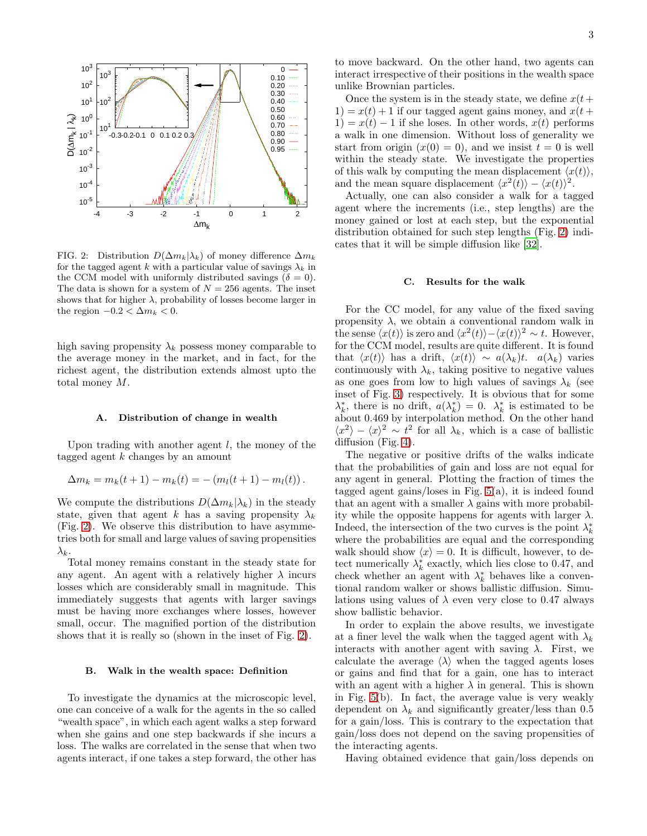

<span id="page-2-0"></span>FIG. 2: Distribution  $D(\Delta m_k|\lambda_k)$  of money difference  $\Delta m_k$ for the tagged agent k with a particular value of savings  $\lambda_k$  in the CCM model with uniformly distributed savings ( $\delta = 0$ ). The data is shown for a system of  $N = 256$  agents. The inset shows that for higher  $\lambda$ , probability of losses become larger in the region  $-0.2 < \Delta m_k < 0$ .

high saving propensity  $\lambda_k$  possess money comparable to the average money in the market, and in fact, for the richest agent, the distribution extends almost upto the total money M.

## A. Distribution of change in wealth

Upon trading with another agent  $l$ , the money of the tagged agent  $k$  changes by an amount

$$
\Delta m_k = m_k(t+1) - m_k(t) = -(m_l(t+1) - m_l(t)).
$$

We compute the distributions  $D(\Delta m_k|\lambda_k)$  in the steady state, given that agent k has a saving propensity  $\lambda_k$ (Fig. [2\)](#page-2-0). We observe this distribution to have asymmetries both for small and large values of saving propensities  $\lambda_k$ .

Total money remains constant in the steady state for any agent. An agent with a relatively higher  $\lambda$  incurs losses which are considerably small in magnitude. This immediately suggests that agents with larger savings must be having more exchanges where losses, however small, occur. The magnified portion of the distribution shows that it is really so (shown in the inset of Fig. [2\)](#page-2-0).

### B. Walk in the wealth space: Definition

To investigate the dynamics at the microscopic level, one can conceive of a walk for the agents in the so called "wealth space", in which each agent walks a step forward when she gains and one step backwards if she incurs a loss. The walks are correlated in the sense that when two agents interact, if one takes a step forward, the other has

to move backward. On the other hand, two agents can interact irrespective of their positions in the wealth space unlike Brownian particles.

Once the system is in the steady state, we define  $x(t+)$  $1) = x(t) + 1$  if our tagged agent gains money, and  $x(t)$  $1) = x(t) - 1$  if she loses. In other words,  $x(t)$  performs a walk in one dimension. Without loss of generality we start from origin  $(x(0) = 0)$ , and we insist  $t = 0$  is well within the steady state. We investigate the properties of this walk by computing the mean displacement  $\langle x(t) \rangle$ , and the mean square displacement  $\langle x^2(t) \rangle - \langle x(t) \rangle^2$ .

Actually, one can also consider a walk for a tagged agent where the increments (i.e., step lengths) are the money gained or lost at each step, but the exponential distribution obtained for such step lengths (Fig. [2\)](#page-2-0) indicates that it will be simple diffusion like [\[32](#page-5-23)].

#### C. Results for the walk

For the CC model, for any value of the fixed saving propensity  $\lambda$ , we obtain a conventional random walk in the sense  $\langle x(t) \rangle$  is zero and  $\langle x^2(t) \rangle - \langle x(t) \rangle^2 \sim t$ . However, for the CCM model, results are quite different. It is found that  $\langle x(t) \rangle$  has a drift,  $\langle x(t) \rangle \sim a(\lambda_k)t$ .  $a(\lambda_k)$  varies continuously with  $\lambda_k$ , taking positive to negative values as one goes from low to high values of savings  $\lambda_k$  (see inset of Fig. [3\)](#page-3-0) respectively. It is obvious that for some  $\lambda_k^*$ , there is no drift,  $a(\lambda_k^*) = 0$ .  $\lambda_k^*$  is estimated to be about 0.469 by interpolation method. On the other hand  $\langle x^2 \rangle - \langle x \rangle^2 \sim t^2$  for all  $\lambda_k$ , which is a case of ballistic diffusion (Fig. [4\)](#page-3-1).

The negative or positive drifts of the walks indicate that the probabilities of gain and loss are not equal for any agent in general. Plotting the fraction of times the tagged agent gains/loses in Fig.  $5(a)$ , it is indeed found that an agent with a smaller  $\lambda$  gains with more probability while the opposite happens for agents with larger  $\lambda$ . Indeed, the intersection of the two curves is the point  $\lambda_k^*$ where the probabilities are equal and the corresponding walk should show  $\langle x \rangle = 0$ . It is difficult, however, to detect numerically  $\lambda_k^*$  exactly, which lies close to 0.47, and check whether an agent with  $\lambda_k^*$  behaves like a conventional random walker or shows ballistic diffusion. Simulations using values of  $\lambda$  even very close to 0.47 always show ballistic behavior.

In order to explain the above results, we investigate at a finer level the walk when the tagged agent with  $\lambda_k$ interacts with another agent with saving  $\lambda$ . First, we calculate the average  $\langle \lambda \rangle$  when the tagged agents loses or gains and find that for a gain, one has to interact with an agent with a higher  $\lambda$  in general. This is shown in Fig. [5\(](#page-3-2)b). In fact, the average value is very weakly dependent on  $\lambda_k$  and significantly greater/less than 0.5 for a gain/loss. This is contrary to the expectation that gain/loss does not depend on the saving propensities of the interacting agents.

Having obtained evidence that gain/loss depends on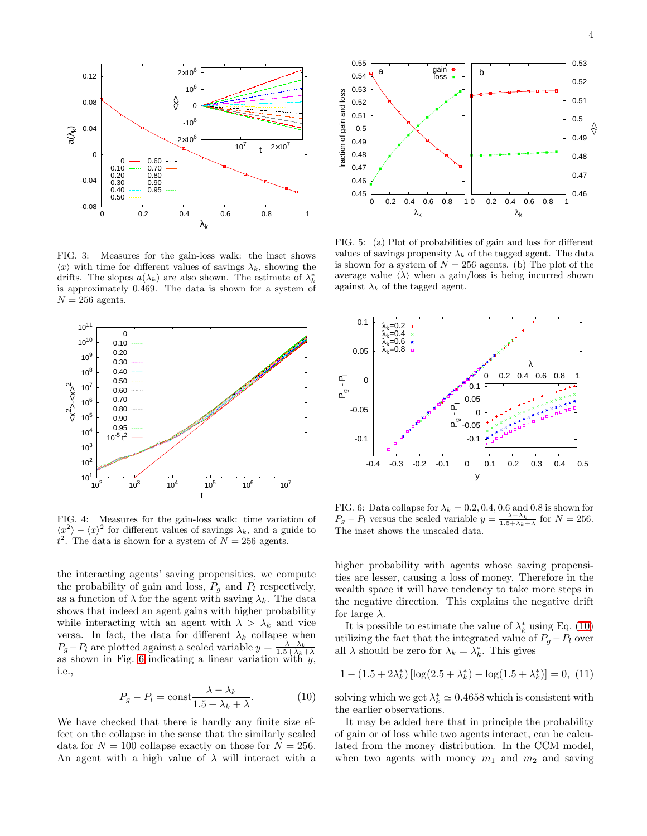

<span id="page-3-0"></span>FIG. 3: Measures for the gain-loss walk: the inset shows  $\langle x \rangle$  with time for different values of savings  $\lambda_k$ , showing the drifts. The slopes  $a(\lambda_k)$  are also shown. The estimate of  $\lambda_k^*$ is approximately 0.469. The data is shown for a system of  $N = 256$  agents.



<span id="page-3-1"></span>FIG. 4: Measures for the gain-loss walk: time variation of  $\langle x^2 \rangle - \langle x \rangle^2$  for different values of savings  $\lambda_k$ , and a guide to  $t^2$ . The data is shown for a system of  $N = 256$  agents.

the interacting agents' saving propensities, we compute the probability of gain and loss,  $P_g$  and  $P_l$  respectively, as a function of  $\lambda$  for the agent with saving  $\lambda_k$ . The data shows that indeed an agent gains with higher probability while interacting with an agent with  $\lambda > \lambda_k$  and vice versa. In fact, the data for different  $\lambda_k$  collapse when  $P_g - P_l$  are plotted against a scaled variable  $y = \frac{\lambda - \lambda_k}{1.5 + \lambda_k + \lambda_k}$ as shown in Fig. [6](#page-3-3) indicating a linear variation with  $y$ , i.e.,

<span id="page-3-4"></span>
$$
P_g - P_l = \text{const} \frac{\lambda - \lambda_k}{1.5 + \lambda_k + \lambda}.
$$
 (10)

We have checked that there is hardly any finite size effect on the collapse in the sense that the similarly scaled data for  $N = 100$  collapse exactly on those for  $N = 256$ . An agent with a high value of  $\lambda$  will interact with a



<span id="page-3-2"></span>FIG. 5: (a) Plot of probabilities of gain and loss for different values of savings propensity  $\lambda_k$  of the tagged agent. The data is shown for a system of  $N = 256$  agents. (b) The plot of the average value  $\langle \lambda \rangle$  when a gain/loss is being incurred shown against  $\lambda_k$  of the tagged agent.



<span id="page-3-3"></span>FIG. 6: Data collapse for  $\lambda_k = 0.2, 0.4, 0.6$  and 0.8 is shown for  $P_g - P_l$  versus the scaled variable  $y = \frac{\lambda - \lambda_k}{1.5 + \lambda_k + \lambda}$  for  $N = 256$ . The inset shows the unscaled data.

higher probability with agents whose saving propensities are lesser, causing a loss of money. Therefore in the wealth space it will have tendency to take more steps in the negative direction. This explains the negative drift for large  $\lambda$ .

It is possible to estimate the value of  $\lambda_k^*$  using Eq. [\(10\)](#page-3-4) utilizing the fact that the integrated value of  $P_g - P_l$  over all  $\lambda$  should be zero for  $\lambda_k = \lambda_k^*$ . This gives

$$
1 - (1.5 + 2\lambda_k^*) \left[ \log(2.5 + \lambda_k^*) - \log(1.5 + \lambda_k^*) \right] = 0, (11)
$$

solving which we get  $\lambda_k^* \simeq 0.4658$  which is consistent with the earlier observations.

It may be added here that in principle the probability of gain or of loss while two agents interact, can be calculated from the money distribution. In the CCM model, when two agents with money  $m_1$  and  $m_2$  and saving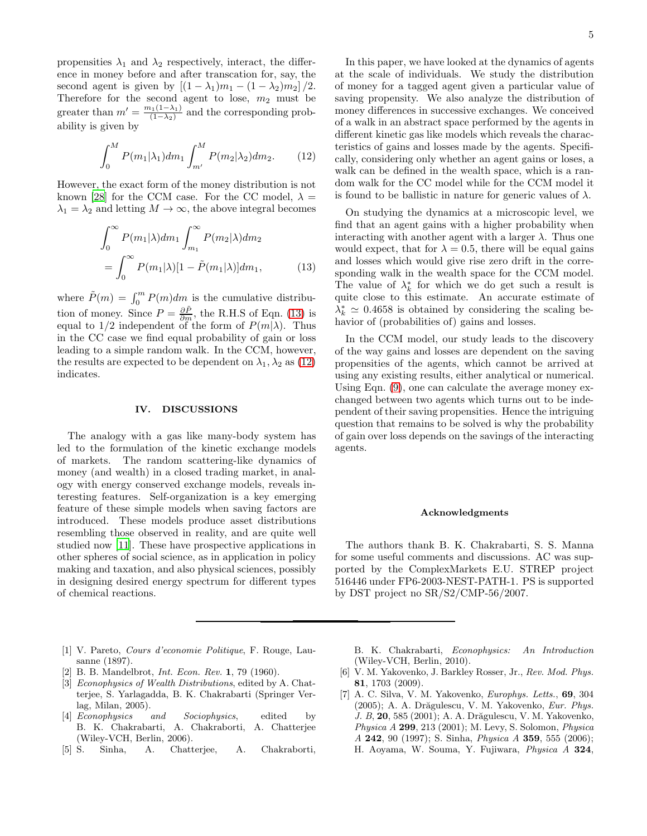propensities  $\lambda_1$  and  $\lambda_2$  respectively, interact, the difference in money before and after transcation for, say, the second agent is given by  $[(1 - \lambda_1)m_1 - (1 - \lambda_2)m_2]/2$ . Therefore for the second agent to lose,  $m_2$  must be greater than  $m' = \frac{m_1(1-\lambda_1)}{(1-\lambda_2)}$  $\frac{(\lambda_1(1-\lambda_1))}{(1-\lambda_2)}$  and the corresponding probability is given by

<span id="page-4-7"></span>
$$
\int_0^M P(m_1|\lambda_1) dm_1 \int_{m'}^M P(m_2|\lambda_2) dm_2.
$$
 (12)

However, the exact form of the money distribution is not known [\[28\]](#page-5-19) for the CCM case. For the CC model,  $\lambda =$  $\lambda_1 = \lambda_2$  and letting  $M \to \infty$ , the above integral becomes

<span id="page-4-6"></span>
$$
\int_0^\infty P(m_1|\lambda)dm_1 \int_{m_1}^\infty P(m_2|\lambda)dm_2
$$
  
= 
$$
\int_0^\infty P(m_1|\lambda)[1-\tilde{P}(m_1|\lambda)]dm_1,
$$
 (13)

where  $\tilde{P}(m) = \int_0^m P(m)dm$  is the cumulative distribution of money. Since  $P = \frac{\partial \tilde{P}}{\partial m}$ , the R.H.S of Eqn. [\(13\)](#page-4-6) is equal to  $1/2$  independent of the form of  $P(m|\lambda)$ . Thus in the CC case we find equal probability of gain or loss leading to a simple random walk. In the CCM, however, the results are expected to be dependent on  $\lambda_1, \lambda_2$  as [\(12\)](#page-4-7) indicates.

#### IV. DISCUSSIONS

The analogy with a gas like many-body system has led to the formulation of the kinetic exchange models of markets. The random scattering-like dynamics of money (and wealth) in a closed trading market, in analogy with energy conserved exchange models, reveals interesting features. Self-organization is a key emerging feature of these simple models when saving factors are introduced. These models produce asset distributions resembling those observed in reality, and are quite well studied now [\[11](#page-5-3)]. These have prospective applications in other spheres of social science, as in application in policy making and taxation, and also physical sciences, possibly in designing desired energy spectrum for different types of chemical reactions.

- <span id="page-4-0"></span>[1] V. Pareto, *Cours d'economie Politique*, F. Rouge, Lausanne (1897).
- [2] B. B. Mandelbrot, *Int. Econ. Rev.* 1, 79 (1960).
- <span id="page-4-2"></span>[3] *Econophysics of Wealth Distributions*, edited by A. Chatterjee, S. Yarlagadda, B. K. Chakrabarti (Springer Verlag, Milan, 2005).
- <span id="page-4-5"></span>[4] *Econophysics and Sociophysics*, edited by B. K. Chakrabarti, A. Chakraborti, A. Chatterjee (Wiley-VCH, Berlin, 2006).
- <span id="page-4-3"></span>[5] S. Sinha, A. Chatterjee, A. Chakraborti,

In this paper, we have looked at the dynamics of agents at the scale of individuals. We study the distribution of money for a tagged agent given a particular value of saving propensity. We also analyze the distribution of money differences in successive exchanges. We conceived of a walk in an abstract space performed by the agents in different kinetic gas like models which reveals the characteristics of gains and losses made by the agents. Specifically, considering only whether an agent gains or loses, a walk can be defined in the wealth space, which is a random walk for the CC model while for the CCM model it is found to be ballistic in nature for generic values of  $\lambda$ .

On studying the dynamics at a microscopic level, we find that an agent gains with a higher probability when interacting with another agent with a larger  $\lambda$ . Thus one would expect, that for  $\lambda = 0.5$ , there will be equal gains and losses which would give rise zero drift in the corresponding walk in the wealth space for the CCM model. The value of  $\lambda_k^*$  for which we do get such a result is quite close to this estimate. An accurate estimate of  $\lambda_k^* \simeq 0.4658$  is obtained by considering the scaling behavior of (probabilities of) gains and losses.

In the CCM model, our study leads to the discovery of the way gains and losses are dependent on the saving propensities of the agents, which cannot be arrived at using any existing results, either analytical or numerical. Using Eqn. [\(9\)](#page-1-1), one can calculate the average money exchanged between two agents which turns out to be independent of their saving propensities. Hence the intriguing question that remains to be solved is why the probability of gain over loss depends on the savings of the interacting agents.

#### Acknowledgments

The authors thank B. K. Chakrabarti, S. S. Manna for some useful comments and discussions. AC was supported by the ComplexMarkets E.U. STREP project 516446 under FP6-2003-NEST-PATH-1. PS is supported by DST project no SR/S2/CMP-56/2007.

B. K. Chakrabarti, *Econophysics: An Introduction* (Wiley-VCH, Berlin, 2010).

- <span id="page-4-1"></span>[6] V. M. Yakovenko, J. Barkley Rosser, Jr., *Rev. Mod. Phys.* 81, 1703 (2009).
- <span id="page-4-4"></span>[7] A. C. Silva, V. M. Yakovenko, *Europhys. Letts.*, 69, 304 (2005): A. A. Drăgulescu, V. M. Yakovenko, *Eur. Phys. J. B.* 20, 585 (2001); A. A. Drăgulescu, V. M. Yakovenko, *Physica A* 299, 213 (2001); M. Levy, S. Solomon, *Physica A* 242, 90 (1997); S. Sinha, *Physica A* 359, 555 (2006); H. Aoyama, W. Souma, Y. Fujiwara, *Physica A* 324,